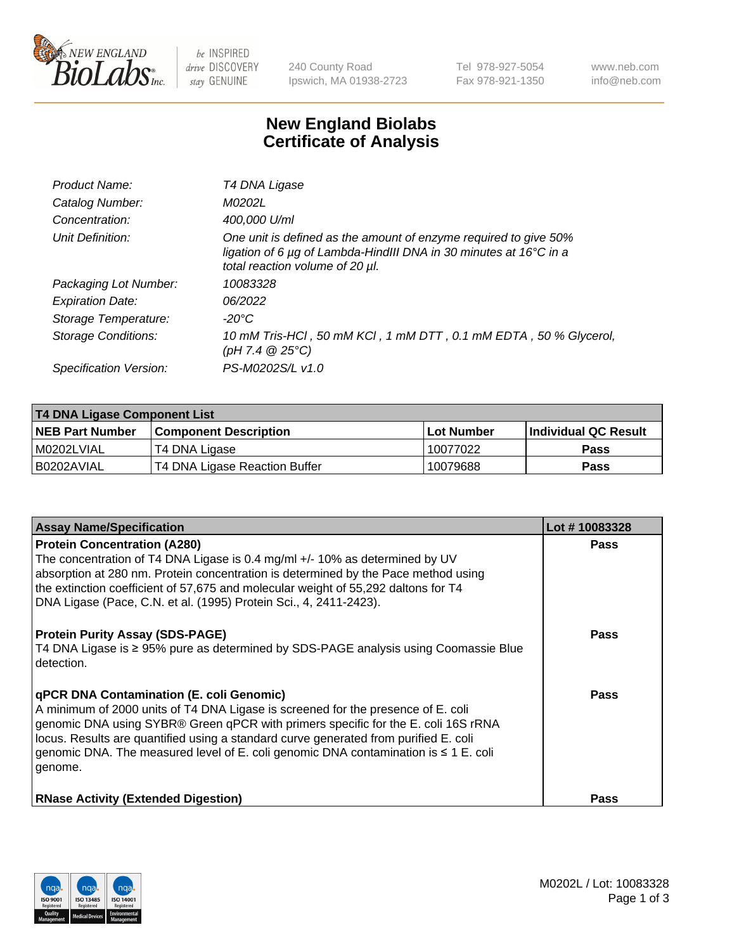

 $be$  INSPIRED drive DISCOVERY stay GENUINE

240 County Road Ipswich, MA 01938-2723 Tel 978-927-5054 Fax 978-921-1350 www.neb.com info@neb.com

## **New England Biolabs Certificate of Analysis**

| Product Name:              | T4 DNA Ligase                                                                                                                                                                           |
|----------------------------|-----------------------------------------------------------------------------------------------------------------------------------------------------------------------------------------|
| Catalog Number:            | M0202L                                                                                                                                                                                  |
| Concentration:             | 400,000 U/ml                                                                                                                                                                            |
| Unit Definition:           | One unit is defined as the amount of enzyme required to give 50%<br>ligation of 6 $\mu$ g of Lambda-HindIII DNA in 30 minutes at 16 $\degree$ C in a<br>total reaction volume of 20 µl. |
| Packaging Lot Number:      | 10083328                                                                                                                                                                                |
| <b>Expiration Date:</b>    | 06/2022                                                                                                                                                                                 |
| Storage Temperature:       | $-20^{\circ}$ C                                                                                                                                                                         |
| <b>Storage Conditions:</b> | 10 mM Tris-HCl, 50 mM KCl, 1 mM DTT, 0.1 mM EDTA, 50 % Glycerol,<br>(pH 7.4 $@25°C$ )                                                                                                   |
| Specification Version:     | PS-M0202S/L v1.0                                                                                                                                                                        |

| T4 DNA Ligase Component List |                               |              |                             |  |
|------------------------------|-------------------------------|--------------|-----------------------------|--|
| <b>NEB Part Number</b>       | <b>Component Description</b>  | l Lot Number | <b>Individual QC Result</b> |  |
| M0202LVIAL                   | T4 DNA Ligase                 | 10077022     | <b>Pass</b>                 |  |
| I B0202AVIAL                 | T4 DNA Ligase Reaction Buffer | 10079688     | <b>Pass</b>                 |  |

| <b>Assay Name/Specification</b>                                                                                                                                                                                                                                                                                                                                                                                         | Lot #10083328 |
|-------------------------------------------------------------------------------------------------------------------------------------------------------------------------------------------------------------------------------------------------------------------------------------------------------------------------------------------------------------------------------------------------------------------------|---------------|
| <b>Protein Concentration (A280)</b><br>The concentration of T4 DNA Ligase is 0.4 mg/ml +/- 10% as determined by UV<br>absorption at 280 nm. Protein concentration is determined by the Pace method using<br>the extinction coefficient of 57,675 and molecular weight of 55,292 daltons for T4<br>DNA Ligase (Pace, C.N. et al. (1995) Protein Sci., 4, 2411-2423).                                                     | <b>Pass</b>   |
| <b>Protein Purity Assay (SDS-PAGE)</b><br>T4 DNA Ligase is ≥ 95% pure as determined by SDS-PAGE analysis using Coomassie Blue<br>l detection.                                                                                                                                                                                                                                                                           | <b>Pass</b>   |
| <b>qPCR DNA Contamination (E. coli Genomic)</b><br>A minimum of 2000 units of T4 DNA Ligase is screened for the presence of E. coli<br>genomic DNA using SYBR® Green qPCR with primers specific for the E. coli 16S rRNA<br>locus. Results are quantified using a standard curve generated from purified E. coli<br>genomic DNA. The measured level of E. coli genomic DNA contamination is $\leq 1$ E. coli<br>genome. | Pass          |
| <b>RNase Activity (Extended Digestion)</b>                                                                                                                                                                                                                                                                                                                                                                              | <b>Pass</b>   |

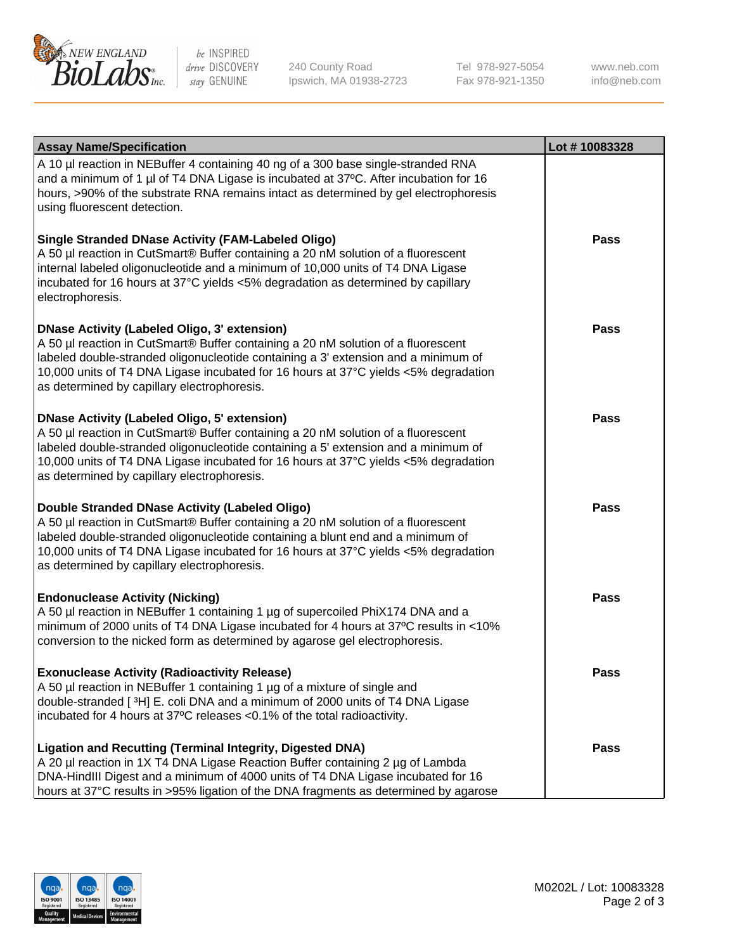

be INSPIRED drive DISCOVERY stay GENUINE

240 County Road Ipswich, MA 01938-2723 Tel 978-927-5054 Fax 978-921-1350 www.neb.com info@neb.com

| <b>Assay Name/Specification</b>                                                                                                                                                                                                                                                                                                                                      | Lot #10083328 |
|----------------------------------------------------------------------------------------------------------------------------------------------------------------------------------------------------------------------------------------------------------------------------------------------------------------------------------------------------------------------|---------------|
| A 10 µl reaction in NEBuffer 4 containing 40 ng of a 300 base single-stranded RNA<br>and a minimum of 1 µl of T4 DNA Ligase is incubated at 37°C. After incubation for 16<br>hours, >90% of the substrate RNA remains intact as determined by gel electrophoresis<br>using fluorescent detection.                                                                    |               |
| <b>Single Stranded DNase Activity (FAM-Labeled Oligo)</b><br>A 50 µl reaction in CutSmart® Buffer containing a 20 nM solution of a fluorescent<br>internal labeled oligonucleotide and a minimum of 10,000 units of T4 DNA Ligase<br>incubated for 16 hours at 37°C yields <5% degradation as determined by capillary<br>electrophoresis.                            | Pass          |
| <b>DNase Activity (Labeled Oligo, 3' extension)</b><br>A 50 µl reaction in CutSmart® Buffer containing a 20 nM solution of a fluorescent<br>labeled double-stranded oligonucleotide containing a 3' extension and a minimum of<br>10,000 units of T4 DNA Ligase incubated for 16 hours at 37°C yields <5% degradation<br>as determined by capillary electrophoresis. | <b>Pass</b>   |
| <b>DNase Activity (Labeled Oligo, 5' extension)</b><br>A 50 µl reaction in CutSmart® Buffer containing a 20 nM solution of a fluorescent<br>labeled double-stranded oligonucleotide containing a 5' extension and a minimum of<br>10,000 units of T4 DNA Ligase incubated for 16 hours at 37°C yields <5% degradation<br>as determined by capillary electrophoresis. | Pass          |
| Double Stranded DNase Activity (Labeled Oligo)<br>A 50 µl reaction in CutSmart® Buffer containing a 20 nM solution of a fluorescent<br>labeled double-stranded oligonucleotide containing a blunt end and a minimum of<br>10,000 units of T4 DNA Ligase incubated for 16 hours at 37°C yields <5% degradation<br>as determined by capillary electrophoresis.         | Pass          |
| <b>Endonuclease Activity (Nicking)</b><br>A 50 µl reaction in NEBuffer 1 containing 1 µg of supercoiled PhiX174 DNA and a<br>minimum of 2000 units of T4 DNA Ligase incubated for 4 hours at 37°C results in <10%<br>conversion to the nicked form as determined by agarose gel electrophoresis.                                                                     | <b>Pass</b>   |
| <b>Exonuclease Activity (Radioactivity Release)</b><br>A 50 µl reaction in NEBuffer 1 containing 1 µg of a mixture of single and<br>double-stranded [3H] E. coli DNA and a minimum of 2000 units of T4 DNA Ligase<br>incubated for 4 hours at 37°C releases <0.1% of the total radioactivity.                                                                        | Pass          |
| <b>Ligation and Recutting (Terminal Integrity, Digested DNA)</b><br>A 20 µl reaction in 1X T4 DNA Ligase Reaction Buffer containing 2 µg of Lambda<br>DNA-HindIII Digest and a minimum of 4000 units of T4 DNA Ligase incubated for 16<br>hours at 37°C results in >95% ligation of the DNA fragments as determined by agarose                                       | Pass          |